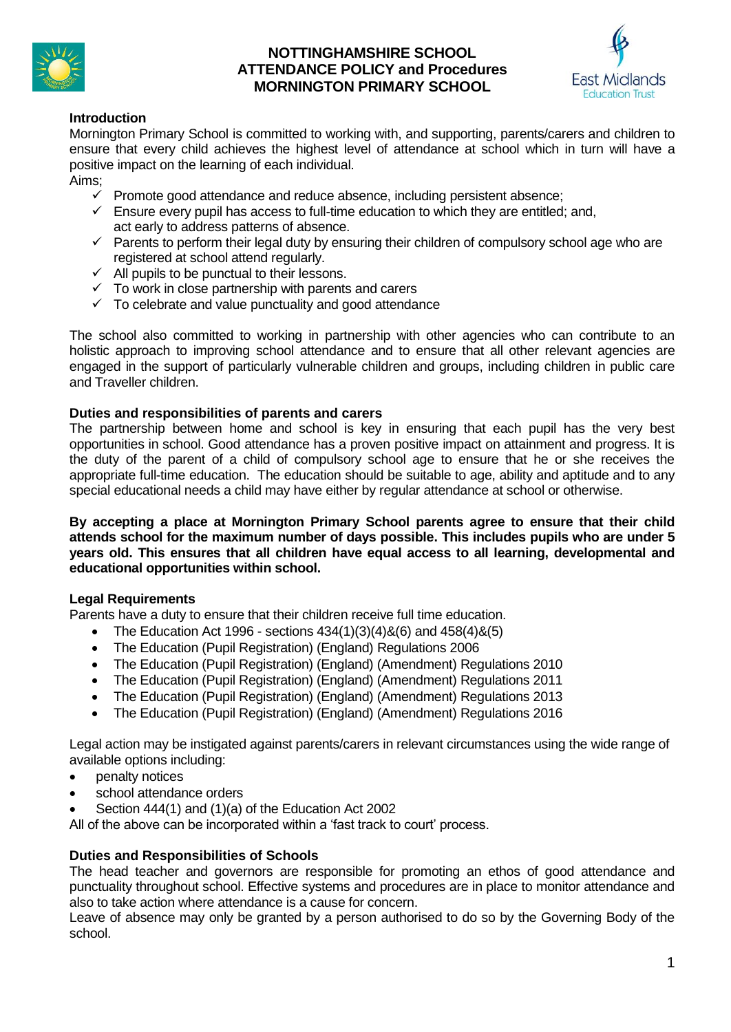

# **NOTTINGHAMSHIRE SCHOOL ATTENDANCE POLICY and Procedures MORNINGTON PRIMARY SCHOOL**



# **Introduction**

Mornington Primary School is committed to working with, and supporting, parents/carers and children to ensure that every child achieves the highest level of attendance at school which in turn will have a positive impact on the learning of each individual.

Aims;

- $\checkmark$  Promote good attendance and reduce absence, including persistent absence;
- $\checkmark$  Ensure every pupil has access to full-time education to which they are entitled; and, act early to address patterns of absence.
- $\checkmark$  Parents to perform their legal duty by ensuring their children of compulsory school age who are registered at school attend regularly.
- $\checkmark$  All pupils to be punctual to their lessons.
- ✓ To work in close partnership with parents and carers
- ✓ To celebrate and value punctuality and good attendance

The school also committed to working in partnership with other agencies who can contribute to an holistic approach to improving school attendance and to ensure that all other relevant agencies are engaged in the support of particularly vulnerable children and groups, including children in public care and Traveller children.

#### **Duties and responsibilities of parents and carers**

The partnership between home and school is key in ensuring that each pupil has the very best opportunities in school. Good attendance has a proven positive impact on attainment and progress. It is the duty of the parent of a child of compulsory school age to ensure that he or she receives the appropriate full-time education. The education should be suitable to age, ability and aptitude and to any special educational needs a child may have either by regular attendance at school or otherwise.

**By accepting a place at Mornington Primary School parents agree to ensure that their child attends school for the maximum number of days possible. This includes pupils who are under 5 years old. This ensures that all children have equal access to all learning, developmental and educational opportunities within school.**

## **Legal Requirements**

Parents have a duty to ensure that their children receive full time education.

- The Education Act 1996 sections  $434(1)(3)(4)8(6)$  and  $458(4)8(5)$
- The Education (Pupil Registration) (England) Regulations 2006
- The Education (Pupil Registration) (England) (Amendment) Regulations 2010
- The Education (Pupil Registration) (England) (Amendment) Regulations 2011
- The Education (Pupil Registration) (England) (Amendment) Regulations 2013
- The Education (Pupil Registration) (England) (Amendment) Regulations 2016

Legal action may be instigated against parents/carers in relevant circumstances using the wide range of available options including:

- penalty notices
- school attendance orders
- Section 444(1) and (1)(a) of the Education Act 2002

All of the above can be incorporated within a 'fast track to court' process.

## **Duties and Responsibilities of Schools**

The head teacher and governors are responsible for promoting an ethos of good attendance and punctuality throughout school. Effective systems and procedures are in place to monitor attendance and also to take action where attendance is a cause for concern.

Leave of absence may only be granted by a person authorised to do so by the Governing Body of the school.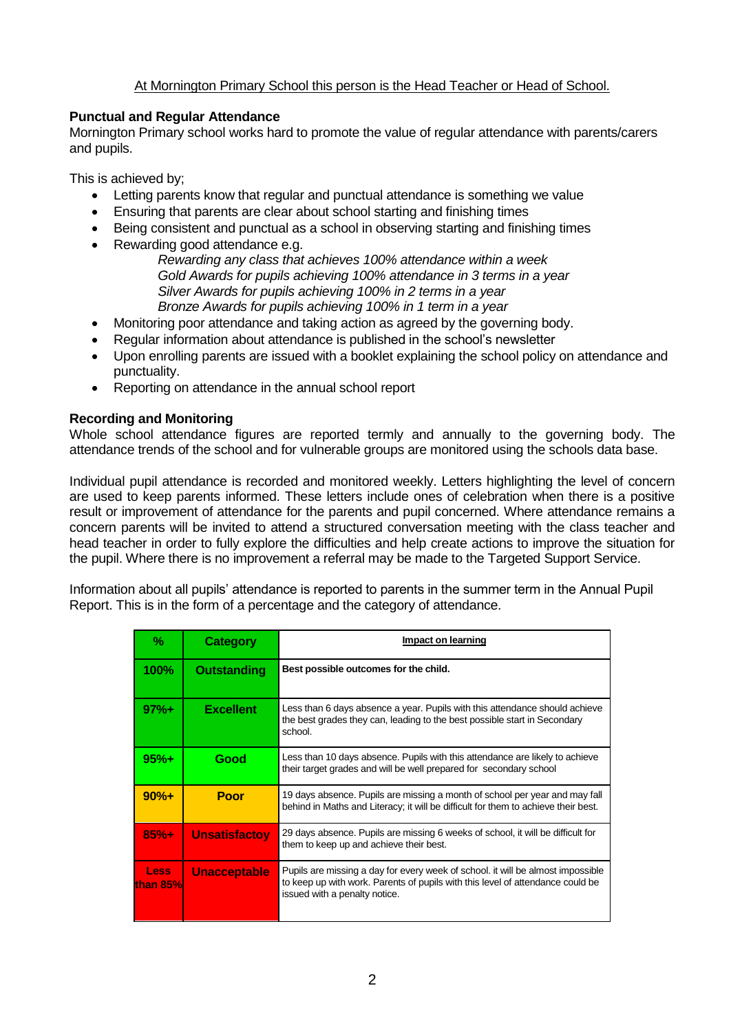# At Mornington Primary School this person is the Head Teacher or Head of School.

## **Punctual and Regular Attendance**

Mornington Primary school works hard to promote the value of regular attendance with parents/carers and pupils.

This is achieved by;

- Letting parents know that regular and punctual attendance is something we value
- Ensuring that parents are clear about school starting and finishing times
- Being consistent and punctual as a school in observing starting and finishing times
- Rewarding good attendance e.g.
	- *Rewarding any class that achieves 100% attendance within a week Gold Awards for pupils achieving 100% attendance in 3 terms in a year Silver Awards for pupils achieving 100% in 2 terms in a year Bronze Awards for pupils achieving 100% in 1 term in a year*
- Monitoring poor attendance and taking action as agreed by the governing body.
- Regular information about attendance is published in the school's newsletter
- Upon enrolling parents are issued with a booklet explaining the school policy on attendance and punctuality.
- Reporting on attendance in the annual school report

#### **Recording and Monitoring**

Whole school attendance figures are reported termly and annually to the governing body. The attendance trends of the school and for vulnerable groups are monitored using the schools data base.

Individual pupil attendance is recorded and monitored weekly. Letters highlighting the level of concern are used to keep parents informed. These letters include ones of celebration when there is a positive result or improvement of attendance for the parents and pupil concerned. Where attendance remains a concern parents will be invited to attend a structured conversation meeting with the class teacher and head teacher in order to fully explore the difficulties and help create actions to improve the situation for the pupil. Where there is no improvement a referral may be made to the Targeted Support Service.

Information about all pupils' attendance is reported to parents in the summer term in the Annual Pupil Report. This is in the form of a percentage and the category of attendance.

| ℅                         | <b>Category</b>      | Impact on learning                                                                                                                                                                                 |
|---------------------------|----------------------|----------------------------------------------------------------------------------------------------------------------------------------------------------------------------------------------------|
| 100%                      | <b>Outstanding</b>   | Best possible outcomes for the child.                                                                                                                                                              |
| $97%+$                    | <b>Excellent</b>     | Less than 6 days absence a year. Pupils with this attendance should achieve<br>the best grades they can, leading to the best possible start in Secondary<br>school                                 |
| $95%+$                    | Good                 | Less than 10 days absence. Pupils with this attendance are likely to achieve<br>their target grades and will be well prepared for secondary school                                                 |
| $90%+$                    | Poor                 | 19 days absence. Pupils are missing a month of school per year and may fall<br>behind in Maths and Literacy; it will be difficult for them to achieve their best.                                  |
| $85% +$                   | <b>Unsatisfactov</b> | 29 days absence. Pupils are missing 6 weeks of school, it will be difficult for<br>them to keep up and achieve their best.                                                                         |
| <b>Less</b><br>lthan 85%l | <b>Unacceptable</b>  | Pupils are missing a day for every week of school. it will be almost impossible<br>to keep up with work. Parents of pupils with this level of attendance could be<br>issued with a penalty notice. |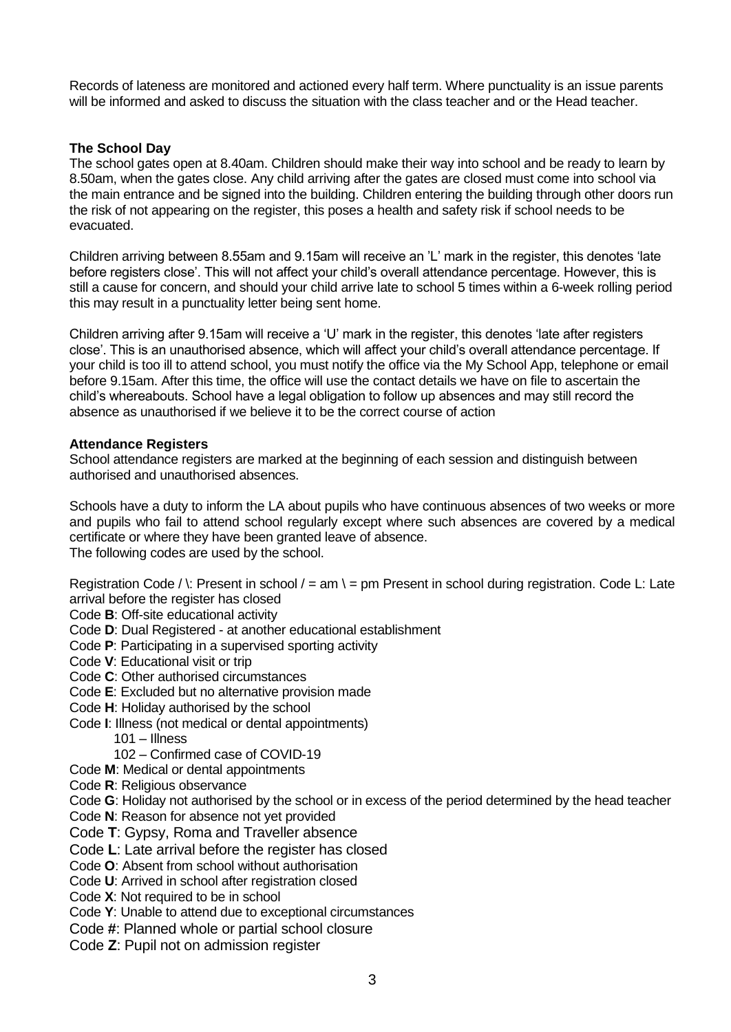Records of lateness are monitored and actioned every half term. Where punctuality is an issue parents will be informed and asked to discuss the situation with the class teacher and or the Head teacher.

## **The School Day**

The school gates open at 8.40am. Children should make their way into school and be ready to learn by 8.50am, when the gates close. Any child arriving after the gates are closed must come into school via the main entrance and be signed into the building. Children entering the building through other doors run the risk of not appearing on the register, this poses a health and safety risk if school needs to be evacuated.

Children arriving between 8.55am and 9.15am will receive an 'L' mark in the register, this denotes 'late before registers close'. This will not affect your child's overall attendance percentage. However, this is still a cause for concern, and should your child arrive late to school 5 times within a 6-week rolling period this may result in a punctuality letter being sent home.

Children arriving after 9.15am will receive a 'U' mark in the register, this denotes 'late after registers close'. This is an unauthorised absence, which will affect your child's overall attendance percentage. If your child is too ill to attend school, you must notify the office via the My School App, telephone or email before 9.15am. After this time, the office will use the contact details we have on file to ascertain the child's whereabouts. School have a legal obligation to follow up absences and may still record the absence as unauthorised if we believe it to be the correct course of action

## **Attendance Registers**

School attendance registers are marked at the beginning of each session and distinguish between authorised and unauthorised absences.

Schools have a duty to inform the LA about pupils who have continuous absences of two weeks or more and pupils who fail to attend school regularly except where such absences are covered by a medical certificate or where they have been granted leave of absence. The following codes are used by the school.

Registration Code /  $\lbrack$ : Present in school / = am  $\lbrack$  = pm Present in school during registration. Code L: Late arrival before the register has closed

Code **B**: Off-site educational activity

- Code **D**: Dual Registered at another educational establishment
- Code **P**: Participating in a supervised sporting activity
- Code **V**: Educational visit or trip
- Code **C**: Other authorised circumstances
- Code **E**: Excluded but no alternative provision made
- Code **H**: Holiday authorised by the school
- Code **I**: Illness (not medical or dental appointments)
	- 101 Illness
	- 102 Confirmed case of COVID-19
- Code **M**: Medical or dental appointments
- Code **R**: Religious observance
- Code **G**: Holiday not authorised by the school or in excess of the period determined by the head teacher
- Code **N**: Reason for absence not yet provided
- Code **T**: Gypsy, Roma and Traveller absence
- Code **L**: Late arrival before the register has closed
- Code **O**: Absent from school without authorisation
- Code **U**: Arrived in school after registration closed
- Code **X**: Not required to be in school
- Code **Y**: Unable to attend due to exceptional circumstances
- Code **#**: Planned whole or partial school closure
- Code **Z**: Pupil not on admission register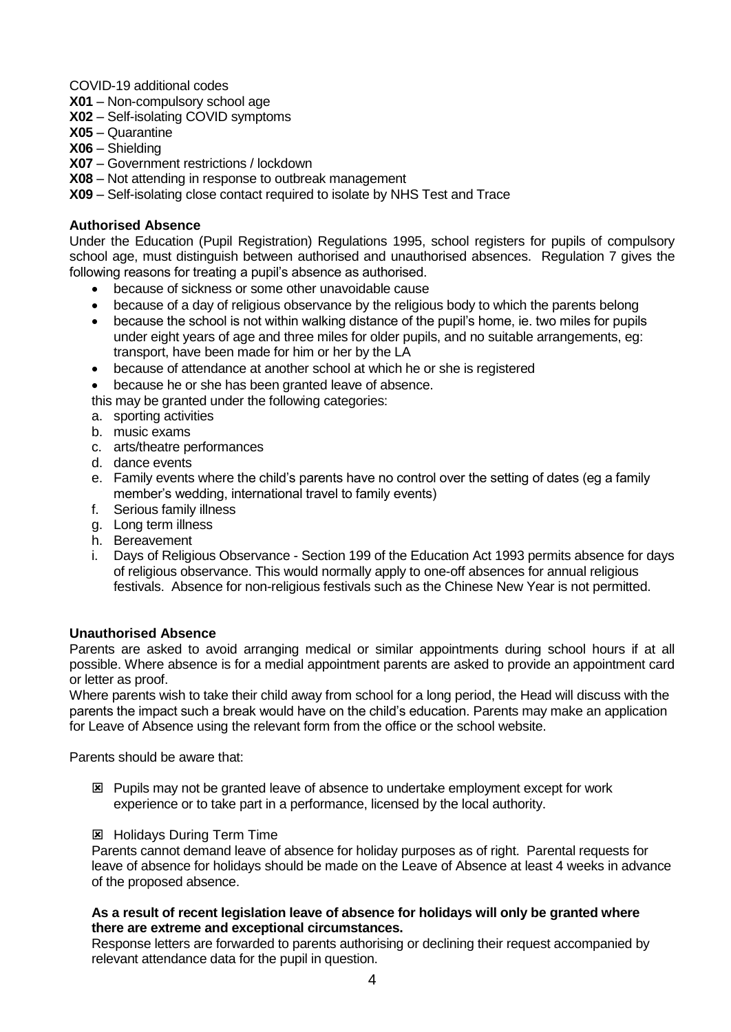COVID-19 additional codes

- **X01**  Non-compulsory school age
- **X02** Self-isolating COVID symptoms
- **X05** Quarantine
- **X06** Shielding
- **X07** Government restrictions / lockdown
- **X08**  Not attending in response to outbreak management

**X09** – Self-isolating close contact required to isolate by NHS Test and Trace

## **Authorised Absence**

Under the Education (Pupil Registration) Regulations 1995, school registers for pupils of compulsory school age, must distinguish between authorised and unauthorised absences. Regulation 7 gives the following reasons for treating a pupil's absence as authorised.

- because of sickness or some other unavoidable cause
- because of a day of religious observance by the religious body to which the parents belong
- because the school is not within walking distance of the pupil's home, ie. two miles for pupils under eight years of age and three miles for older pupils, and no suitable arrangements, eg: transport, have been made for him or her by the LA
- because of attendance at another school at which he or she is registered
- because he or she has been granted leave of absence.

this may be granted under the following categories:

- a. sporting activities
- b. music exams
- c. arts/theatre performances
- d. dance events
- e. Family events where the child's parents have no control over the setting of dates (eg a family member's wedding, international travel to family events)
- f. Serious family illness
- g. Long term illness
- h. Bereavement
- i. Days of Religious Observance Section 199 of the Education Act 1993 permits absence for days of religious observance. This would normally apply to one-off absences for annual religious festivals. Absence for non-religious festivals such as the Chinese New Year is not permitted.

# **Unauthorised Absence**

Parents are asked to avoid arranging medical or similar appointments during school hours if at all possible. Where absence is for a medial appointment parents are asked to provide an appointment card or letter as proof.

Where parents wish to take their child away from school for a long period, the Head will discuss with the parents the impact such a break would have on the child's education. Parents may make an application for Leave of Absence using the relevant form from the office or the school website.

Parents should be aware that:

- Pupils may not be granted leave of absence to undertake employment except for work experience or to take part in a performance, licensed by the local authority.
- **EX** Holidays During Term Time

Parents cannot demand leave of absence for holiday purposes as of right. Parental requests for leave of absence for holidays should be made on the Leave of Absence at least 4 weeks in advance of the proposed absence.

#### **As a result of recent legislation leave of absence for holidays will only be granted where there are extreme and exceptional circumstances.**

Response letters are forwarded to parents authorising or declining their request accompanied by relevant attendance data for the pupil in question.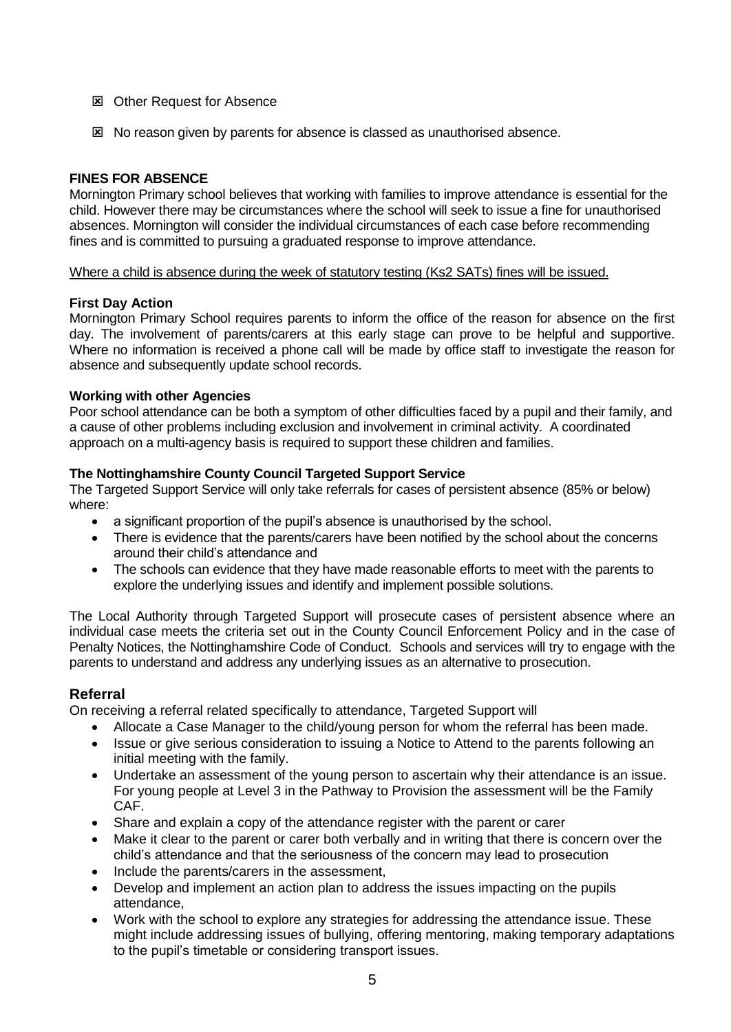- **EX** Other Request for Absence
- No reason given by parents for absence is classed as unauthorised absence.

# **FINES FOR ABSENCE**

Mornington Primary school believes that working with families to improve attendance is essential for the child. However there may be circumstances where the school will seek to issue a fine for unauthorised absences. Mornington will consider the individual circumstances of each case before recommending fines and is committed to pursuing a graduated response to improve attendance.

## Where a child is absence during the week of statutory testing (Ks2 SATs) fines will be issued.

## **First Day Action**

Mornington Primary School requires parents to inform the office of the reason for absence on the first day. The involvement of parents/carers at this early stage can prove to be helpful and supportive. Where no information is received a phone call will be made by office staff to investigate the reason for absence and subsequently update school records.

## **Working with other Agencies**

Poor school attendance can be both a symptom of other difficulties faced by a pupil and their family, and a cause of other problems including exclusion and involvement in criminal activity. A coordinated approach on a multi-agency basis is required to support these children and families.

# **The Nottinghamshire County Council Targeted Support Service**

The Targeted Support Service will only take referrals for cases of persistent absence (85% or below) where:

- a significant proportion of the pupil's absence is unauthorised by the school.
- There is evidence that the parents/carers have been notified by the school about the concerns around their child's attendance and
- The schools can evidence that they have made reasonable efforts to meet with the parents to explore the underlying issues and identify and implement possible solutions.

The Local Authority through Targeted Support will prosecute cases of persistent absence where an individual case meets the criteria set out in the County Council Enforcement Policy and in the case of Penalty Notices, the Nottinghamshire Code of Conduct. Schools and services will try to engage with the parents to understand and address any underlying issues as an alternative to prosecution.

# **Referral**

On receiving a referral related specifically to attendance, Targeted Support will

- Allocate a Case Manager to the child/young person for whom the referral has been made.
- Issue or give serious consideration to issuing a Notice to Attend to the parents following an initial meeting with the family.
- Undertake an assessment of the young person to ascertain why their attendance is an issue. For young people at Level 3 in the Pathway to Provision the assessment will be the Family CAF.
- Share and explain a copy of the attendance register with the parent or carer
- Make it clear to the parent or carer both verbally and in writing that there is concern over the child's attendance and that the seriousness of the concern may lead to prosecution
- Include the parents/carers in the assessment,
- Develop and implement an action plan to address the issues impacting on the pupils attendance,
- Work with the school to explore any strategies for addressing the attendance issue. These might include addressing issues of bullying, offering mentoring, making temporary adaptations to the pupil's timetable or considering transport issues.